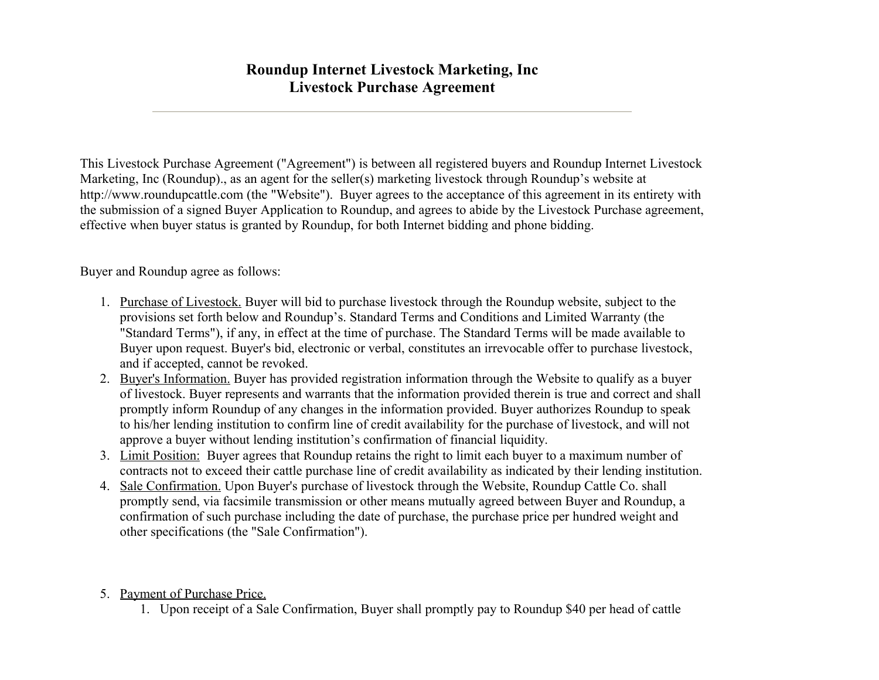## **Roundup Internet Livestock Marketing, Inc Livestock Purchase Agreement**

This Livestock Purchase Agreement ("Agreement") is between all registered buyers and Roundup Internet Livestock Marketing, Inc (Roundup)., as an agent for the seller(s) marketing livestock through Roundup's website at http://www.roundupcattle.com (the "Website"). Buyer agrees to the acceptance of this agreement in its entirety with the submission of a signed Buyer Application to Roundup, and agrees to abide by the Livestock Purchase agreement, effective when buyer status is granted by Roundup, for both Internet bidding and phone bidding.

Buyer and Roundup agree as follows:

- 1. Purchase of Livestock. Buyer will bid to purchase livestock through the Roundup website, subject to the provisions set forth below and Roundup's. Standard Terms and Conditions and Limited Warranty (the "Standard Terms"), if any, in effect at the time of purchase. The Standard Terms will be made available to Buyer upon request. Buyer's bid, electronic or verbal, constitutes an irrevocable offer to purchase livestock, and if accepted, cannot be revoked.
- 2. Buyer's Information. Buyer has provided registration information through the Website to qualify as a buyer of livestock. Buyer represents and warrants that the information provided therein is true and correct and shall promptly inform Roundup of any changes in the information provided. Buyer authorizes Roundup to speak to his/her lending institution to confirm line of credit availability for the purchase of livestock, and will not approve a buyer without lending institution's confirmation of financial liquidity.
- 3. Limit Position: Buyer agrees that Roundup retains the right to limit each buyer to a maximum number of contracts not to exceed their cattle purchase line of credit availability as indicated by their lending institution.
- 4. Sale Confirmation. Upon Buyer's purchase of livestock through the Website, Roundup Cattle Co. shall promptly send, via facsimile transmission or other means mutually agreed between Buyer and Roundup, a confirmation of such purchase including the date of purchase, the purchase price per hundred weight and other specifications (the "Sale Confirmation").
- 5. Payment of Purchase Price.
	- 1. Upon receipt of a Sale Confirmation, Buyer shall promptly pay to Roundup \$40 per head of cattle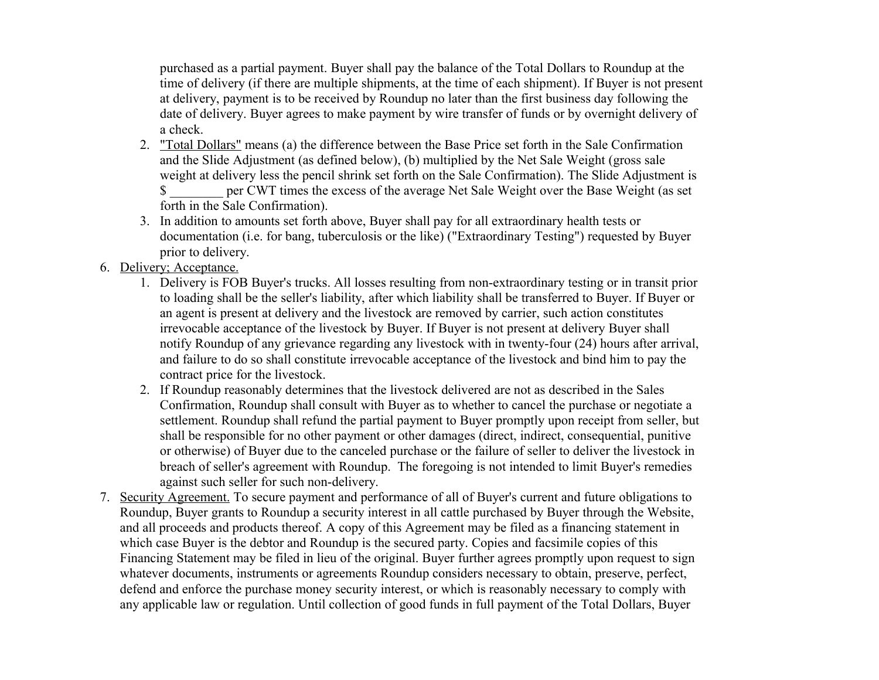purchased as a partial payment. Buyer shall pay the balance of the Total Dollars to Roundup at the time of delivery (if there are multiple shipments, at the time of each shipment). If Buyer is not present at delivery, payment is to be received by Roundup no later than the first business day following the date of delivery. Buyer agrees to make payment by wire transfer of funds or by overnight delivery of a check.

- 2. "Total Dollars" means (a) the difference between the Base Price set forth in the Sale Confirmation and the Slide Adjustment (as defined below), (b) multiplied by the Net Sale Weight (gross sale weight at delivery less the pencil shrink set forth on the Sale Confirmation). The Slide Adjustment is \$ \_\_\_\_\_\_\_\_ per CWT times the excess of the average Net Sale Weight over the Base Weight (as set forth in the Sale Confirmation).
- 3. In addition to amounts set forth above, Buyer shall pay for all extraordinary health tests or documentation (i.e. for bang, tuberculosis or the like) ("Extraordinary Testing") requested by Buyer prior to delivery.
- 6. Delivery; Acceptance.
	- 1. Delivery is FOB Buyer's trucks. All losses resulting from non-extraordinary testing or in transit prior to loading shall be the seller's liability, after which liability shall be transferred to Buyer. If Buyer or an agent is present at delivery and the livestock are removed by carrier, such action constitutes irrevocable acceptance of the livestock by Buyer. If Buyer is not present at delivery Buyer shall notify Roundup of any grievance regarding any livestock with in twenty-four (24) hours after arrival, and failure to do so shall constitute irrevocable acceptance of the livestock and bind him to pay the contract price for the livestock.
	- 2. If Roundup reasonably determines that the livestock delivered are not as described in the Sales Confirmation, Roundup shall consult with Buyer as to whether to cancel the purchase or negotiate a settlement. Roundup shall refund the partial payment to Buyer promptly upon receipt from seller, but shall be responsible for no other payment or other damages (direct, indirect, consequential, punitive or otherwise) of Buyer due to the canceled purchase or the failure of seller to deliver the livestock in breach of seller's agreement with Roundup. The foregoing is not intended to limit Buyer's remedies against such seller for such non-delivery.
- 7. Security Agreement. To secure payment and performance of all of Buyer's current and future obligations to Roundup, Buyer grants to Roundup a security interest in all cattle purchased by Buyer through the Website, and all proceeds and products thereof. A copy of this Agreement may be filed as a financing statement in which case Buyer is the debtor and Roundup is the secured party. Copies and facsimile copies of this Financing Statement may be filed in lieu of the original. Buyer further agrees promptly upon request to sign whatever documents, instruments or agreements Roundup considers necessary to obtain, preserve, perfect, defend and enforce the purchase money security interest, or which is reasonably necessary to comply with any applicable law or regulation. Until collection of good funds in full payment of the Total Dollars, Buyer